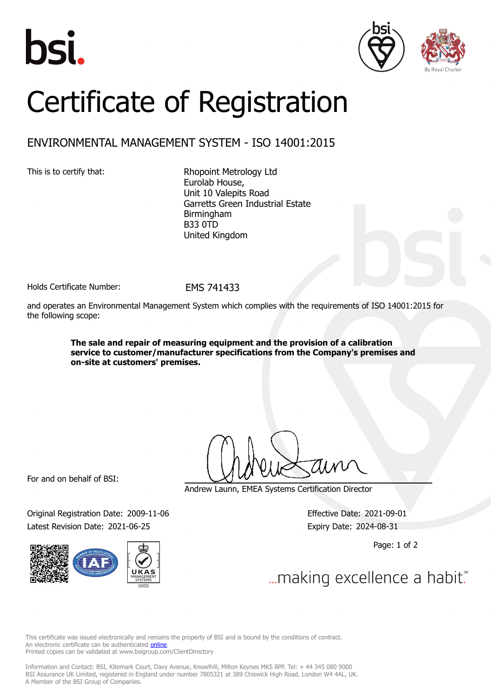





## Certificate of Registration

## ENVIRONMENTAL MANAGEMENT SYSTEM - ISO 14001:2015

This is to certify that: Rhopoint Metrology Ltd Eurolab House, Unit 10 Valepits Road Garretts Green Industrial Estate Birmingham B33 0TD United Kingdom

Holds Certificate Number: FMS 741433

and operates an Environmental Management System which complies with the requirements of ISO 14001:2015 for the following scope:

> **The sale and repair of measuring equipment and the provision of a calibration service to customer/manufacturer specifications from the Company's premises and on-site at customers' premises.**

For and on behalf of BSI:

Original Registration Date: 2009-11-06 Effective Date: 2021-09-01 Latest Revision Date: 2021-06-25 Expiry Date: 2024-08-31



Andrew Launn, EMEA Systems Certification Director

Page: 1 of 2

... making excellence a habit."

This certificate was issued electronically and remains the property of BSI and is bound by the conditions of contract. An electronic certificate can be authenticated **[online](https://pgplus.bsigroup.com/CertificateValidation/CertificateValidator.aspx?CertificateNumber=EMS+741433&ReIssueDate=25%2f06%2f2021&Template=uk)**. Printed copies can be validated at www.bsigroup.com/ClientDirectory

Information and Contact: BSI, Kitemark Court, Davy Avenue, Knowlhill, Milton Keynes MK5 8PP. Tel: + 44 345 080 9000 BSI Assurance UK Limited, registered in England under number 7805321 at 389 Chiswick High Road, London W4 4AL, UK. A Member of the BSI Group of Companies.